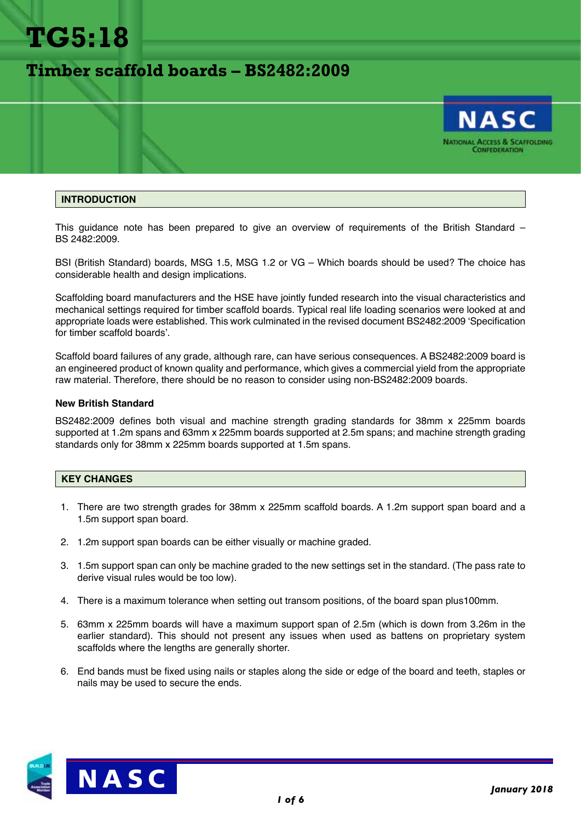

# **Timber scaffold boards – BS2482:2009**



### **INTRODUCTION**

This guidance note has been prepared to give an overview of requirements of the British Standard – BS 2482:2009.

BSI (British Standard) boards, MSG 1.5, MSG 1.2 or VG – Which boards should be used? The choice has considerable health and design implications.

Scaffolding board manufacturers and the HSE have jointly funded research into the visual characteristics and mechanical settings required for timber scaffold boards. Typical real life loading scenarios were looked at and appropriate loads were established. This work culminated in the revised document BS2482:2009 'Specification for timber scaffold boards'.

Scaffold board failures of any grade, although rare, can have serious consequences. A BS2482:2009 board is an engineered product of known quality and performance, which gives a commercial yield from the appropriate raw material. Therefore, there should be no reason to consider using non-BS2482:2009 boards.

#### **New British Standard**

BS2482:2009 defines both visual and machine strength grading standards for 38mm x 225mm boards supported at 1.2m spans and 63mm x 225mm boards supported at 2.5m spans; and machine strength grading standards only for 38mm x 225mm boards supported at 1.5m spans.

#### **KEY CHANGES**

- 1. There are two strength grades for 38mm x 225mm scaffold boards. A 1.2m support span board and a 1.5m support span board.
- 2. 1.2m support span boards can be either visually or machine graded.
- 3. 1.5m support span can only be machine graded to the new settings set in the standard. (The pass rate to derive visual rules would be too low).
- 4. There is a maximum tolerance when setting out transom positions, of the board span plus100mm.
- 5. 63mm x 225mm boards will have a maximum support span of 2.5m (which is down from 3.26m in the earlier standard). This should not present any issues when used as battens on proprietary system scaffolds where the lengths are generally shorter.
- 6. End bands must be fixed using nails or staples along the side or edge of the board and teeth, staples or nails may be used to secure the ends.

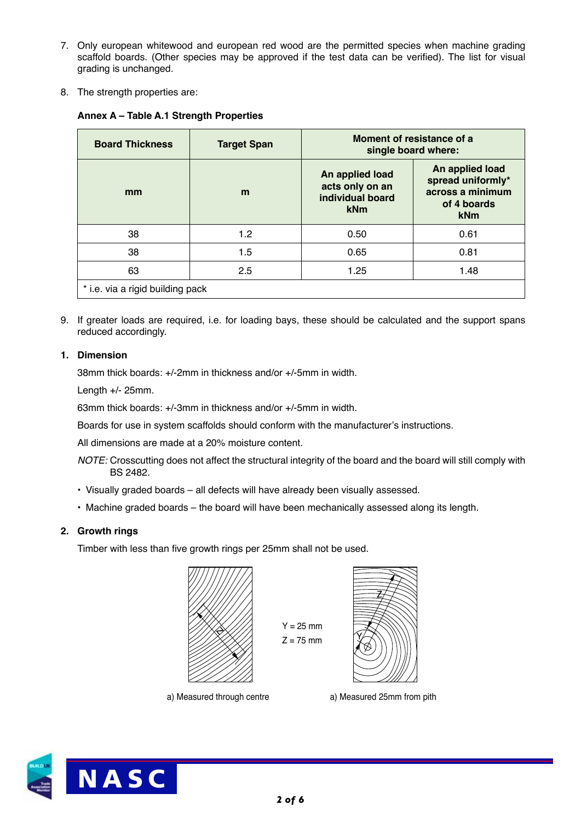- 7. Only european whitewood and european red wood are the permitted species when machine grading scaffold boards. (Other species may be approved if the test data can be verified). The list for visual grading is unchanged.
- 8. The strength properties are:

|  | Annex A - Table A.1 Strength Properties |
|--|-----------------------------------------|
|--|-----------------------------------------|

| <b>Board Thickness</b>           | <b>Target Span</b> | Moment of resistance of a<br>single board where:              |                                                                                       |  |
|----------------------------------|--------------------|---------------------------------------------------------------|---------------------------------------------------------------------------------------|--|
| mm                               | m                  | An applied load<br>acts only on an<br>individual board<br>kNm | An applied load<br>spread uniformly*<br>across a minimum<br>of 4 boards<br><b>kNm</b> |  |
| 38                               | 1.2                | 0.50                                                          | 0.61                                                                                  |  |
| 38                               | 1.5                | 0.65                                                          | 0.81                                                                                  |  |
| 63                               | 2.5                | 1.25                                                          | 1.48                                                                                  |  |
| * i.e. via a rigid building pack |                    |                                                               |                                                                                       |  |

9. If greater loads are required, i.e. for loading bays, these should be calculated and the support spans reduced accordingly.

# **1. Dimension**

38mm thick boards: +/-2mm in thickness and/or +/-5mm in width.

Length +/- 25mm.

63mm thick boards: +/-3mm in thickness and/or +/-5mm in width.

Boards for use in system scaffolds should conform with the manufacturer's instructions.

All dimensions are made at a 20% moisture content.

- *NOTE:* Crosscutting does not affect the structural integrity of the board and the board will still comply with BS 2482.
- Visually graded boards all defects will have already been visually assessed.
- Machine graded boards the board will have been mechanically assessed along its length.

# **2. Growth rings**

Timber with less than five growth rings per 25mm shall not be used.



 $Z = 75$  mm

 $Y = 25$  mm



a) Measured through centre a) Measured 25mm from pith

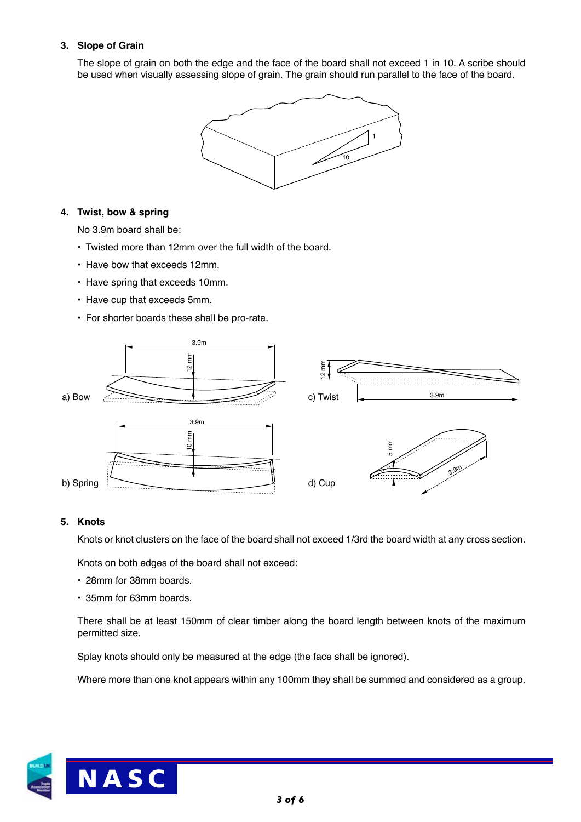# **3. Slope of Grain**

The slope of grain on both the edge and the face of the board shall not exceed 1 in 10. A scribe should be used when visually assessing slope of grain. The grain should run parallel to the face of the board.



# **4. Twist, bow & spring**

No 3.9m board shall be:

- Twisted more than 12mm over the full width of the board.
- Have bow that exceeds 12mm.
- Have spring that exceeds 10mm.
- Have cup that exceeds 5mm.
- For shorter boards these shall be pro-rata.



## **5. Knots**

Knots or knot clusters on the face of the board shall not exceed 1/3rd the board width at any cross section.

Knots on both edges of the board shall not exceed:

- 28mm for 38mm boards.
- 35mm for 63mm boards.

There shall be at least 150mm of clear timber along the board length between knots of the maximum permitted size.

Splay knots should only be measured at the edge (the face shall be ignored).

Where more than one knot appears within any 100mm they shall be summed and considered as a group.

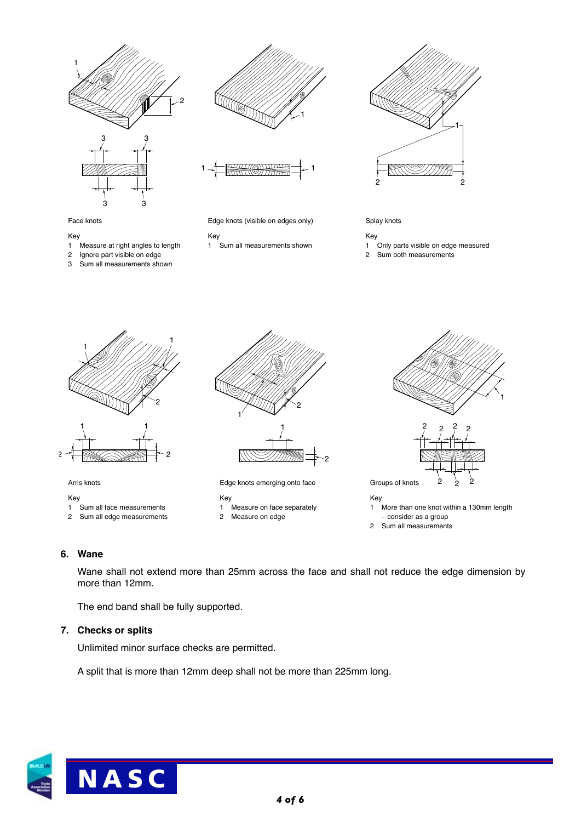







Face knots

- Key
- 
- 1 Measure at right angles to length 2 Ignore part visible on edge
- 3 Sum all measurements shown

Edge knots (visible on edges only)

- Key
- 1 Sum all measurements shown



Key

- 1 Only parts visible on edge measured
- 2 Sum both measurements



Arris knots

Key

- 1 Sum all face measurements
- 2 Sum all edge measurements





Edge knots emerging onto face

Key

- 1 Measure on face separately 2 Measure on edge
- 



 – consider as a group 2 Sum all measurements

# **6. Wane**

Wane shall not extend more than 25mm across the face and shall not reduce the edge dimension by more than 12mm.

The end band shall be fully supported.

#### **7. Checks or splits**

Unlimited minor surface checks are permitted.

A split that is more than 12mm deep shall not be more than 225mm long.



*4 of 6*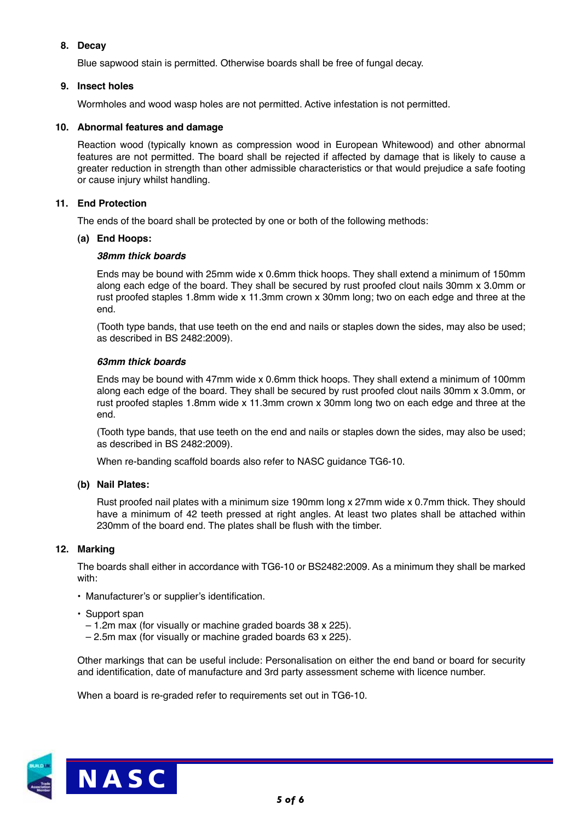# **8. Decay**

Blue sapwood stain is permitted. Otherwise boards shall be free of fungal decay.

# **9. Insect holes**

Wormholes and wood wasp holes are not permitted. Active infestation is not permitted.

# **10. Abnormal features and damage**

Reaction wood (typically known as compression wood in European Whitewood) and other abnormal features are not permitted. The board shall be rejected if affected by damage that is likely to cause a greater reduction in strength than other admissible characteristics or that would prejudice a safe footing or cause injury whilst handling.

# **11. End Protection**

The ends of the board shall be protected by one or both of the following methods:

## **(a) End Hoops:**

## *38mm thick boards*

Ends may be bound with 25mm wide x 0.6mm thick hoops. They shall extend a minimum of 150mm along each edge of the board. They shall be secured by rust proofed clout nails 30mm x 3.0mm or rust proofed staples 1.8mm wide x 11.3mm crown x 30mm long; two on each edge and three at the end.

(Tooth type bands, that use teeth on the end and nails or staples down the sides, may also be used; as described in BS 2482:2009).

# *63mm thick boards*

Ends may be bound with 47mm wide x 0.6mm thick hoops. They shall extend a minimum of 100mm along each edge of the board. They shall be secured by rust proofed clout nails 30mm x 3.0mm, or rust proofed staples 1.8mm wide x 11.3mm crown x 30mm long two on each edge and three at the end.

(Tooth type bands, that use teeth on the end and nails or staples down the sides, may also be used; as described in BS 2482:2009).

When re-banding scaffold boards also refer to NASC guidance TG6-10.

## **(b) Nail Plates:**

Rust proofed nail plates with a minimum size 190mm long x 27mm wide x 0.7mm thick. They should have a minimum of 42 teeth pressed at right angles. At least two plates shall be attached within 230mm of the board end. The plates shall be flush with the timber.

## **12. Marking**

The boards shall either in accordance with TG6-10 or BS2482:2009. As a minimum they shall be marked with:

- Manufacturer's or supplier's identification.
- Support span
	- 1.2m max (for visually or machine graded boards 38 x 225).
	- 2.5m max (for visually or machine graded boards 63 x 225).

Other markings that can be useful include: Personalisation on either the end band or board for security and identification, date of manufacture and 3rd party assessment scheme with licence number.

When a board is re-graded refer to requirements set out in TG6-10.